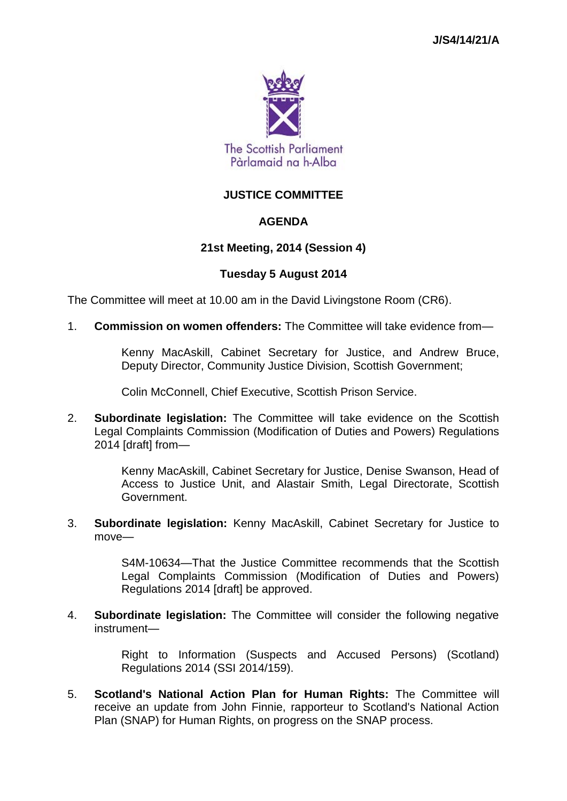

# **JUSTICE COMMITTEE**

# **AGENDA**

## **21st Meeting, 2014 (Session 4)**

## **Tuesday 5 August 2014**

The Committee will meet at 10.00 am in the David Livingstone Room (CR6).

1. **Commission on women offenders:** The Committee will take evidence from—

Kenny MacAskill, Cabinet Secretary for Justice, and Andrew Bruce, Deputy Director, Community Justice Division, Scottish Government;

Colin McConnell, Chief Executive, Scottish Prison Service.

2. **Subordinate legislation:** The Committee will take evidence on the Scottish Legal Complaints Commission (Modification of Duties and Powers) Regulations 2014 [draft] from—

> Kenny MacAskill, Cabinet Secretary for Justice, Denise Swanson, Head of Access to Justice Unit, and Alastair Smith, Legal Directorate, Scottish Government.

3. **Subordinate legislation:** Kenny MacAskill, Cabinet Secretary for Justice to move—

> S4M-10634—That the Justice Committee recommends that the Scottish Legal Complaints Commission (Modification of Duties and Powers) Regulations 2014 [draft] be approved.

4. **Subordinate legislation:** The Committee will consider the following negative instrument—

> Right to Information (Suspects and Accused Persons) (Scotland) Regulations 2014 (SSI 2014/159).

5. **Scotland's National Action Plan for Human Rights:** The Committee will receive an update from John Finnie, rapporteur to Scotland's National Action Plan (SNAP) for Human Rights, on progress on the SNAP process.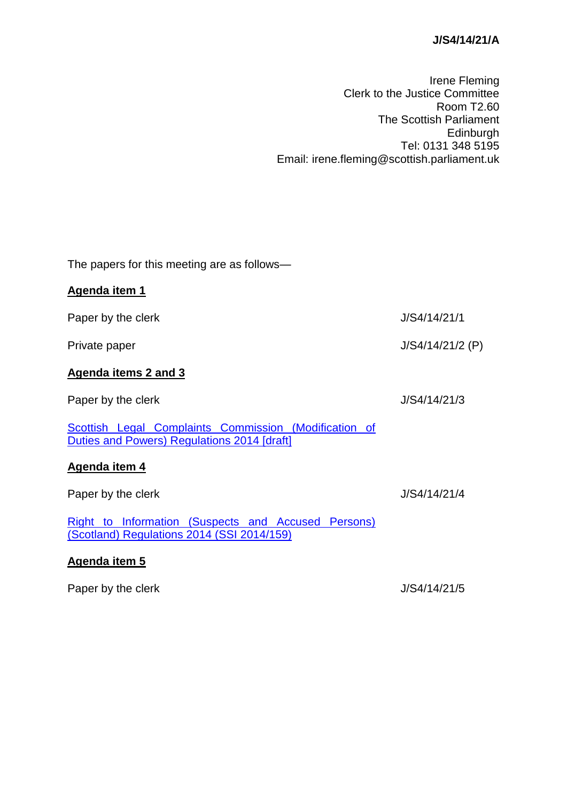## **J/S4/14/21/A**

Irene Fleming Clerk to the Justice Committee Room T2.60 The Scottish Parliament Edinburgh Tel: 0131 348 5195 Email: irene.fleming@scottish.parliament.uk

The papers for this meeting are as follows—

| Agenda item 1                                                                                        |                    |
|------------------------------------------------------------------------------------------------------|--------------------|
| Paper by the clerk                                                                                   | J/S4/14/21/1       |
| Private paper                                                                                        | $J/S4/14/21/2$ (P) |
| Agenda items 2 and 3                                                                                 |                    |
| Paper by the clerk                                                                                   | J/S4/14/21/3       |
| Scottish Legal Complaints Commission (Modification of<br>Duties and Powers) Regulations 2014 [draft] |                    |
| Agenda item 4                                                                                        |                    |
| Paper by the clerk                                                                                   | J/S4/14/21/4       |
| Right to Information (Suspects and Accused Persons)<br>(Scotland) Regulations 2014 (SSI 2014/159)    |                    |
| Agenda item 5                                                                                        |                    |

Paper by the clerk  $J/S4/14/21/5$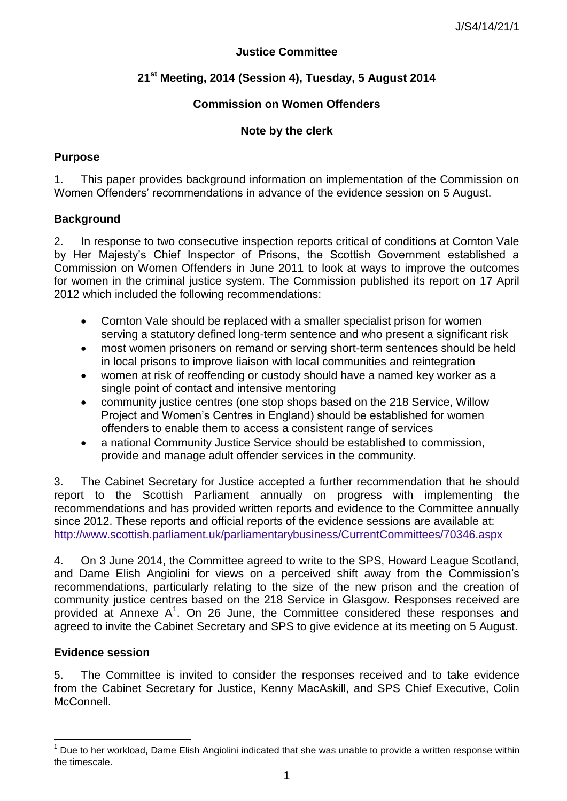### **Justice Committee**

# **21st Meeting, 2014 (Session 4), Tuesday, 5 August 2014**

## **Commission on Women Offenders**

## **Note by the clerk**

## **Purpose**

1. This paper provides background information on implementation of the Commission on Women Offenders' recommendations in advance of the evidence session on 5 August.

## **Background**

2. In response to two consecutive inspection reports critical of conditions at Cornton Vale by Her Majesty"s Chief Inspector of Prisons, the Scottish Government established a Commission on Women Offenders in June 2011 to look at ways to improve the outcomes for women in the criminal justice system. The Commission published its report on 17 April 2012 which included the following recommendations:

- Cornton Vale should be replaced with a smaller specialist prison for women serving a statutory defined long-term sentence and who present a significant risk
- most women prisoners on remand or serving short-term sentences should be held in local prisons to improve liaison with local communities and reintegration
- women at risk of reoffending or custody should have a named key worker as a single point of contact and intensive mentoring
- community justice centres (one stop shops based on the 218 Service, Willow Project and Women"s Centres in England) should be established for women offenders to enable them to access a consistent range of services
- a national Community Justice Service should be established to commission, provide and manage adult offender services in the community.

3. The Cabinet Secretary for Justice accepted a further recommendation that he should report to the Scottish Parliament annually on progress with implementing the recommendations and has provided written reports and evidence to the Committee annually since 2012. These reports and official reports of the evidence sessions are available at: <http://www.scottish.parliament.uk/parliamentarybusiness/CurrentCommittees/70346.aspx>

4. On 3 June 2014, the Committee agreed to write to the SPS, Howard League Scotland, and Dame Elish Angiolini for views on a perceived shift away from the Commission"s recommendations, particularly relating to the size of the new prison and the creation of community justice centres based on the 218 Service in Glasgow. Responses received are provided at Annexe  $A^1$ . On 26 June, the Committee considered these responses and agreed to invite the Cabinet Secretary and SPS to give evidence at its meeting on 5 August.

### **Evidence session**

1

5. The Committee is invited to consider the responses received and to take evidence from the Cabinet Secretary for Justice, Kenny MacAskill, and SPS Chief Executive, Colin McConnell.

 $1$  Due to her workload, Dame Elish Angiolini indicated that she was unable to provide a written response within the timescale.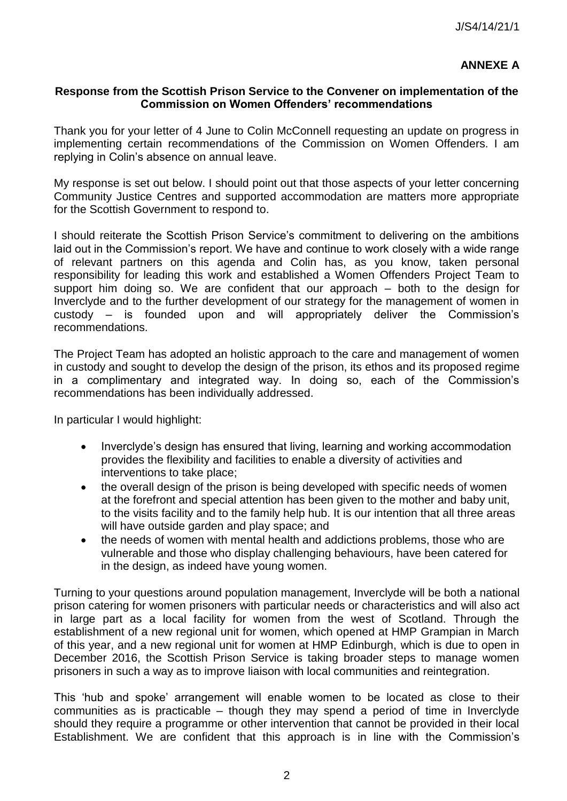# **ANNEXE A**

#### **Response from the Scottish Prison Service to the Convener on implementation of the Commission on Women Offenders' recommendations**

Thank you for your letter of 4 June to Colin McConnell requesting an update on progress in implementing certain recommendations of the Commission on Women Offenders. I am replying in Colin"s absence on annual leave.

My response is set out below. I should point out that those aspects of your letter concerning Community Justice Centres and supported accommodation are matters more appropriate for the Scottish Government to respond to.

I should reiterate the Scottish Prison Service's commitment to delivering on the ambitions laid out in the Commission's report. We have and continue to work closely with a wide range of relevant partners on this agenda and Colin has, as you know, taken personal responsibility for leading this work and established a Women Offenders Project Team to support him doing so. We are confident that our approach – both to the design for Inverclyde and to the further development of our strategy for the management of women in custody – is founded upon and will appropriately deliver the Commission"s recommendations.

The Project Team has adopted an holistic approach to the care and management of women in custody and sought to develop the design of the prison, its ethos and its proposed regime in a complimentary and integrated way. In doing so, each of the Commission"s recommendations has been individually addressed.

In particular I would highlight:

- Inverclyde"s design has ensured that living, learning and working accommodation provides the flexibility and facilities to enable a diversity of activities and interventions to take place;
- the overall design of the prison is being developed with specific needs of women at the forefront and special attention has been given to the mother and baby unit, to the visits facility and to the family help hub. It is our intention that all three areas will have outside garden and play space; and
- the needs of women with mental health and addictions problems, those who are vulnerable and those who display challenging behaviours, have been catered for in the design, as indeed have young women.

Turning to your questions around population management, Inverclyde will be both a national prison catering for women prisoners with particular needs or characteristics and will also act in large part as a local facility for women from the west of Scotland. Through the establishment of a new regional unit for women, which opened at HMP Grampian in March of this year, and a new regional unit for women at HMP Edinburgh, which is due to open in December 2016, the Scottish Prison Service is taking broader steps to manage women prisoners in such a way as to improve liaison with local communities and reintegration.

This "hub and spoke" arrangement will enable women to be located as close to their communities as is practicable – though they may spend a period of time in Inverclyde should they require a programme or other intervention that cannot be provided in their local Establishment. We are confident that this approach is in line with the Commission"s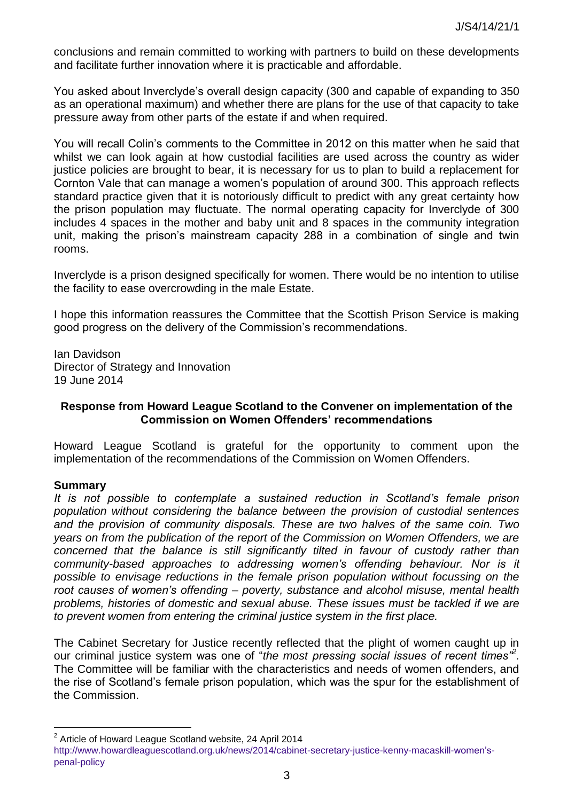conclusions and remain committed to working with partners to build on these developments and facilitate further innovation where it is practicable and affordable.

You asked about Inverclyde"s overall design capacity (300 and capable of expanding to 350 as an operational maximum) and whether there are plans for the use of that capacity to take pressure away from other parts of the estate if and when required.

You will recall Colin"s comments to the Committee in 2012 on this matter when he said that whilst we can look again at how custodial facilities are used across the country as wider justice policies are brought to bear, it is necessary for us to plan to build a replacement for Cornton Vale that can manage a women"s population of around 300. This approach reflects standard practice given that it is notoriously difficult to predict with any great certainty how the prison population may fluctuate. The normal operating capacity for Inverclyde of 300 includes 4 spaces in the mother and baby unit and 8 spaces in the community integration unit, making the prison's mainstream capacity 288 in a combination of single and twin rooms.

Inverclyde is a prison designed specifically for women. There would be no intention to utilise the facility to ease overcrowding in the male Estate.

I hope this information reassures the Committee that the Scottish Prison Service is making good progress on the delivery of the Commission"s recommendations.

Ian Davidson Director of Strategy and Innovation 19 June 2014

### **Response from Howard League Scotland to the Convener on implementation of the Commission on Women Offenders' recommendations**

Howard League Scotland is grateful for the opportunity to comment upon the implementation of the recommendations of the Commission on Women Offenders.

#### **Summary**

1

*It is not possible to contemplate a sustained reduction in Scotland's female prison population without considering the balance between the provision of custodial sentences and the provision of community disposals. These are two halves of the same coin. Two years on from the publication of the report of the Commission on Women Offenders, we are concerned that the balance is still significantly tilted in favour of custody rather than community-based approaches to addressing women's offending behaviour. Nor is it possible to envisage reductions in the female prison population without focussing on the root causes of women's offending – poverty, substance and alcohol misuse, mental health problems, histories of domestic and sexual abuse. These issues must be tackled if we are to prevent women from entering the criminal justice system in the first place.* 

The Cabinet Secretary for Justice recently reflected that the plight of women caught up in our criminal justice system was one of "*the most pressing social issues of recent times"<sup>2</sup> .* The Committee will be familiar with the characteristics and needs of women offenders, and the rise of Scotland"s female prison population, which was the spur for the establishment of the Commission.

 $2^2$  Article of Howard League Scotland website, 24 April 2014

[http://www.howardleaguescotland.org.uk/news/2014/cabinet-secretary-justice-kenny-macaskill-](http://www.howardleaguescotland.org.uk/news/2014/cabinet-secretary-justice-kenny-macaskill-women)women"s[penal-policy](http://www.howardleaguescotland.org.uk/news/2014/cabinet-secretary-justice-kenny-macaskill-women)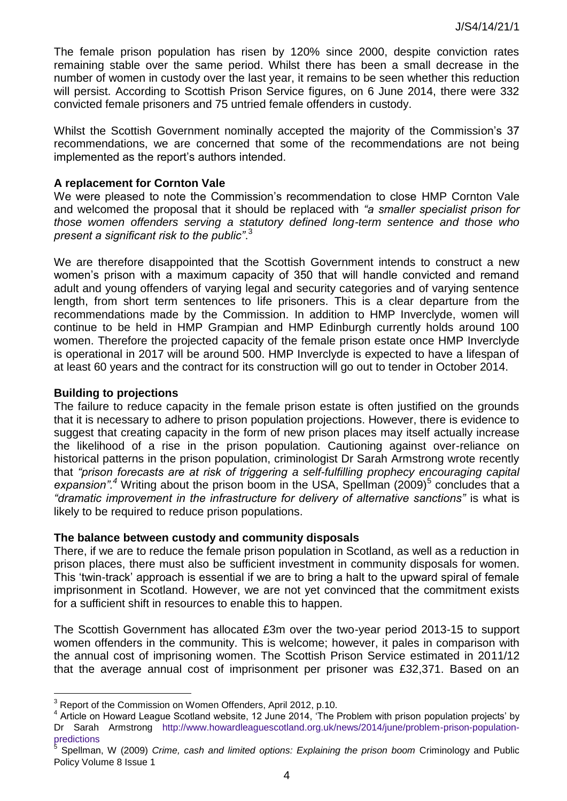The female prison population has risen by 120% since 2000, despite conviction rates remaining stable over the same period. Whilst there has been a small decrease in the number of women in custody over the last year, it remains to be seen whether this reduction will persist. According to Scottish Prison Service figures, on 6 June 2014, there were 332 convicted female prisoners and 75 untried female offenders in custody.

Whilst the Scottish Government nominally accepted the majority of the Commission"s 37 recommendations, we are concerned that some of the recommendations are not being implemented as the report's authors intended.

#### **A replacement for Cornton Vale**

We were pleased to note the Commission's recommendation to close HMP Cornton Vale and welcomed the proposal that it should be replaced with *"a smaller specialist prison for those women offenders serving a statutory defined long-term sentence and those who present a significant risk to the public"*. 3

We are therefore disappointed that the Scottish Government intends to construct a new women"s prison with a maximum capacity of 350 that will handle convicted and remand adult and young offenders of varying legal and security categories and of varying sentence length, from short term sentences to life prisoners. This is a clear departure from the recommendations made by the Commission. In addition to HMP Inverclyde, women will continue to be held in HMP Grampian and HMP Edinburgh currently holds around 100 women. Therefore the projected capacity of the female prison estate once HMP Inverclyde is operational in 2017 will be around 500. HMP Inverclyde is expected to have a lifespan of at least 60 years and the contract for its construction will go out to tender in October 2014.

#### **Building to projections**

1

The failure to reduce capacity in the female prison estate is often justified on the grounds that it is necessary to adhere to prison population projections. However, there is evidence to suggest that creating capacity in the form of new prison places may itself actually increase the likelihood of a rise in the prison population. Cautioning against over-reliance on historical patterns in the prison population, criminologist Dr Sarah Armstrong wrote recently that *"prison forecasts are at risk of triggering a self-fulfilling prophecy encouraging capital*  expansion".<sup>4</sup> Writing about the prison boom in the USA, Spellman (2009)<sup>5</sup> concludes that a *"dramatic improvement in the infrastructure for delivery of alternative sanctions"* is what is likely to be required to reduce prison populations.

#### **The balance between custody and community disposals**

There, if we are to reduce the female prison population in Scotland, as well as a reduction in prison places, there must also be sufficient investment in community disposals for women. This "twin-track" approach is essential if we are to bring a halt to the upward spiral of female imprisonment in Scotland. However, we are not yet convinced that the commitment exists for a sufficient shift in resources to enable this to happen.

The Scottish Government has allocated £3m over the two-year period 2013-15 to support women offenders in the community. This is welcome; however, it pales in comparison with the annual cost of imprisoning women. The Scottish Prison Service estimated in 2011/12 that the average annual cost of imprisonment per prisoner was £32,371. Based on an

 $3$  Report of the Commission on Women Offenders, April 2012, p.10.

 $4$  Article on Howard League Scotland website, 12 June 2014, 'The Problem with prison population projects' by Dr Sarah Armstrong [http://www.howardleaguescotland.org.uk/news/2014/june/problem-prison-population](http://www.howardleaguescotland.org.uk/news/2014/june/problem-prison-population-predictions)[predictions](http://www.howardleaguescotland.org.uk/news/2014/june/problem-prison-population-predictions) 

<sup>5</sup> Spellman, W (2009) *Crime, cash and limited options: Explaining the prison boom* Criminology and Public Policy Volume 8 Issue 1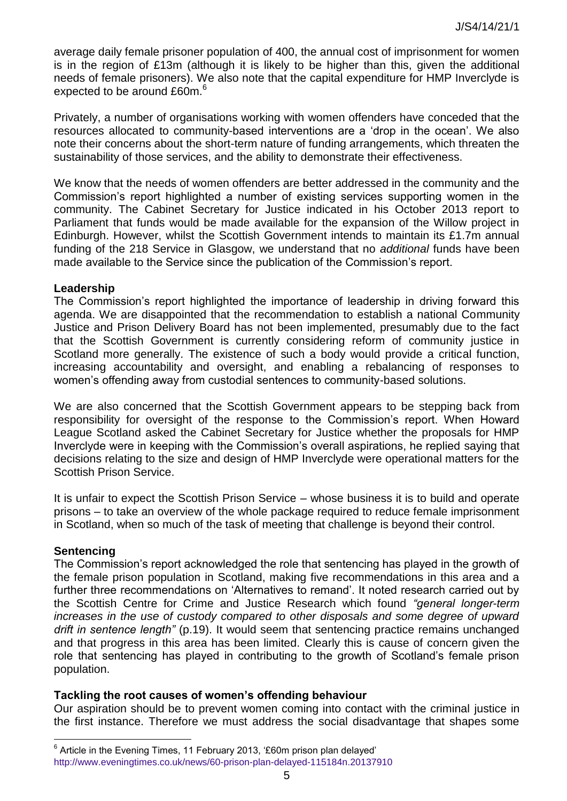average daily female prisoner population of 400, the annual cost of imprisonment for women is in the region of £13m (although it is likely to be higher than this, given the additional needs of female prisoners). We also note that the capital expenditure for HMP Inverclyde is expected to be around £60m.<sup>6</sup>

Privately, a number of organisations working with women offenders have conceded that the resources allocated to community-based interventions are a "drop in the ocean". We also note their concerns about the short-term nature of funding arrangements, which threaten the sustainability of those services, and the ability to demonstrate their effectiveness.

We know that the needs of women offenders are better addressed in the community and the Commission"s report highlighted a number of existing services supporting women in the community. The Cabinet Secretary for Justice indicated in his October 2013 report to Parliament that funds would be made available for the expansion of the Willow project in Edinburgh. However, whilst the Scottish Government intends to maintain its £1.7m annual funding of the 218 Service in Glasgow, we understand that no *additional* funds have been made available to the Service since the publication of the Commission"s report.

#### **Leadership**

The Commission"s report highlighted the importance of leadership in driving forward this agenda. We are disappointed that the recommendation to establish a national Community Justice and Prison Delivery Board has not been implemented, presumably due to the fact that the Scottish Government is currently considering reform of community justice in Scotland more generally. The existence of such a body would provide a critical function, increasing accountability and oversight, and enabling a rebalancing of responses to women"s offending away from custodial sentences to community-based solutions.

We are also concerned that the Scottish Government appears to be stepping back from responsibility for oversight of the response to the Commission's report. When Howard League Scotland asked the Cabinet Secretary for Justice whether the proposals for HMP Inverclyde were in keeping with the Commission"s overall aspirations, he replied saying that decisions relating to the size and design of HMP Inverclyde were operational matters for the Scottish Prison Service.

It is unfair to expect the Scottish Prison Service – whose business it is to build and operate prisons – to take an overview of the whole package required to reduce female imprisonment in Scotland, when so much of the task of meeting that challenge is beyond their control.

### **Sentencing**

1

The Commission's report acknowledged the role that sentencing has played in the growth of the female prison population in Scotland, making five recommendations in this area and a further three recommendations on 'Alternatives to remand'. It noted research carried out by the Scottish Centre for Crime and Justice Research which found *"general longer-term increases in the use of custody compared to other disposals and some degree of upward drift in sentence length"* (p.19). It would seem that sentencing practice remains unchanged and that progress in this area has been limited. Clearly this is cause of concern given the role that sentencing has played in contributing to the growth of Scotland's female prison population.

### **Tackling the root causes of women's offending behaviour**

Our aspiration should be to prevent women coming into contact with the criminal justice in the first instance. Therefore we must address the social disadvantage that shapes some

 $6$  Article in the Evening Times, 11 February 2013, '£60m prison plan delayed' <http://www.eveningtimes.co.uk/news/60-prison-plan-delayed-115184n.20137910>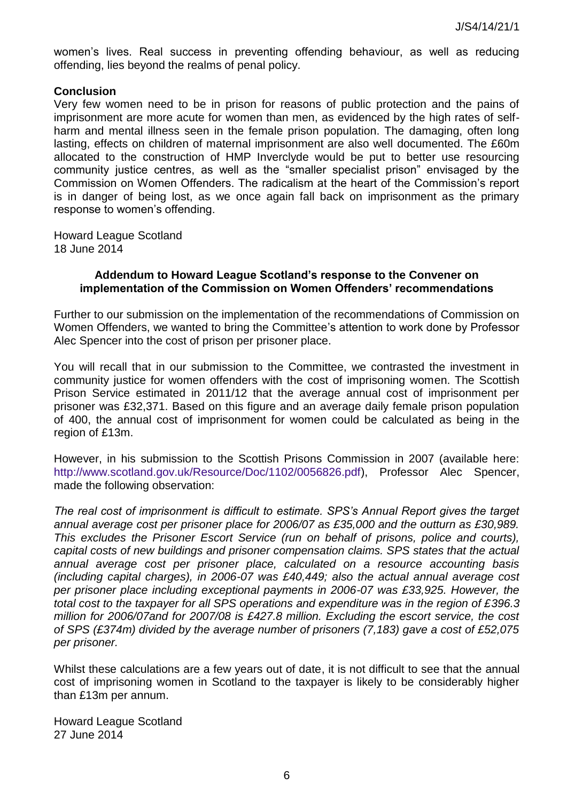women"s lives. Real success in preventing offending behaviour, as well as reducing offending, lies beyond the realms of penal policy.

### **Conclusion**

Very few women need to be in prison for reasons of public protection and the pains of imprisonment are more acute for women than men, as evidenced by the high rates of selfharm and mental illness seen in the female prison population. The damaging, often long lasting, effects on children of maternal imprisonment are also well documented. The £60m allocated to the construction of HMP Inverclyde would be put to better use resourcing community justice centres, as well as the "smaller specialist prison" envisaged by the Commission on Women Offenders. The radicalism at the heart of the Commission"s report is in danger of being lost, as we once again fall back on imprisonment as the primary response to women's offending.

Howard League Scotland 18 June 2014

#### **Addendum to Howard League Scotland's response to the Convener on implementation of the Commission on Women Offenders' recommendations**

Further to our submission on the implementation of the recommendations of Commission on Women Offenders, we wanted to bring the Committee"s attention to work done by Professor Alec Spencer into the cost of prison per prisoner place.

You will recall that in our submission to the Committee, we contrasted the investment in community justice for women offenders with the cost of imprisoning women. The Scottish Prison Service estimated in 2011/12 that the average annual cost of imprisonment per prisoner was £32,371. Based on this figure and an average daily female prison population of 400, the annual cost of imprisonment for women could be calculated as being in the region of £13m.

However, in his submission to the Scottish Prisons Commission in 2007 (available here: [http://www.scotland.gov.uk/Resource/Doc/1102/0056826.pdf\)](http://www.scotland.gov.uk/Resource/Doc/1102/0056826.pdf), Professor Alec Spencer, made the following observation:

*The real cost of imprisonment is difficult to estimate. SPS's Annual Report gives the target annual average cost per prisoner place for 2006/07 as £35,000 and the outturn as £30,989. This excludes the Prisoner Escort Service (run on behalf of prisons, police and courts), capital costs of new buildings and prisoner compensation claims. SPS states that the actual annual average cost per prisoner place, calculated on a resource accounting basis (including capital charges), in 2006-07 was £40,449; also the actual annual average cost per prisoner place including exceptional payments in 2006-07 was £33,925. However, the total cost to the taxpayer for all SPS operations and expenditure was in the region of £396.3 million for 2006/07and for 2007/08 is £427.8 million. Excluding the escort service, the cost of SPS (£374m) divided by the average number of prisoners (7,183) gave a cost of £52,075 per prisoner.* 

Whilst these calculations are a few years out of date, it is not difficult to see that the annual cost of imprisoning women in Scotland to the taxpayer is likely to be considerably higher than £13m per annum.

Howard League Scotland 27 June 2014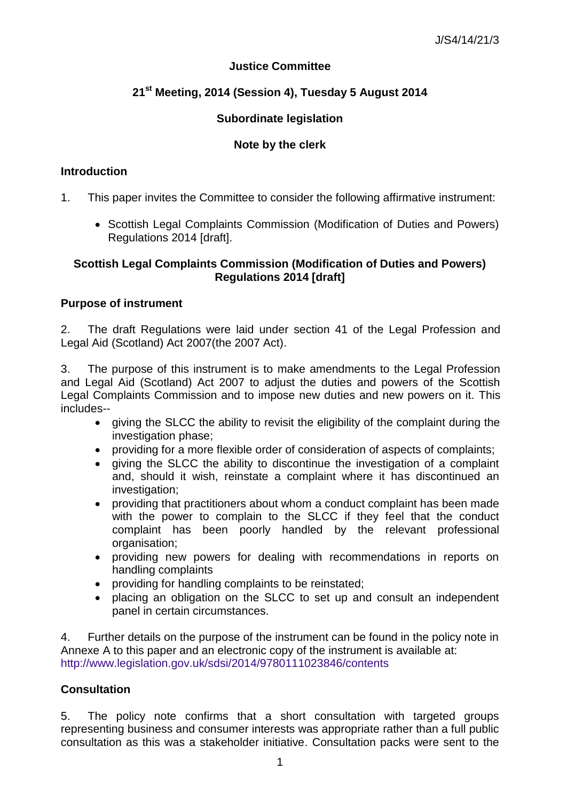# **Justice Committee**

# **21st Meeting, 2014 (Session 4), Tuesday 5 August 2014**

## **Subordinate legislation**

## **Note by the clerk**

### **Introduction**

- 1. This paper invites the Committee to consider the following affirmative instrument:
	- Scottish Legal Complaints Commission (Modification of Duties and Powers) Regulations 2014 [draft].

### **Scottish Legal Complaints Commission (Modification of Duties and Powers) Regulations 2014 [draft]**

### **Purpose of instrument**

2. The draft Regulations were laid under section 41 of the Legal Profession and Legal Aid (Scotland) Act 2007(the 2007 Act).

3. The purpose of this instrument is to make amendments to the Legal Profession and Legal Aid (Scotland) Act 2007 to adjust the duties and powers of the Scottish Legal Complaints Commission and to impose new duties and new powers on it. This includes--

- giving the SLCC the ability to revisit the eligibility of the complaint during the investigation phase;
- providing for a more flexible order of consideration of aspects of complaints;
- giving the SLCC the ability to discontinue the investigation of a complaint and, should it wish, reinstate a complaint where it has discontinued an investigation;
- providing that practitioners about whom a conduct complaint has been made with the power to complain to the SLCC if they feel that the conduct complaint has been poorly handled by the relevant professional organisation;
- providing new powers for dealing with recommendations in reports on handling complaints
- providing for handling complaints to be reinstated;
- placing an obligation on the SLCC to set up and consult an independent panel in certain circumstances.

4. Further details on the purpose of the instrument can be found in the policy note in Annexe A to this paper and an electronic copy of the instrument is available at: <http://www.legislation.gov.uk/sdsi/2014/9780111023846/contents>

### **Consultation**

5. The policy note confirms that a short consultation with targeted groups representing business and consumer interests was appropriate rather than a full public consultation as this was a stakeholder initiative. Consultation packs were sent to the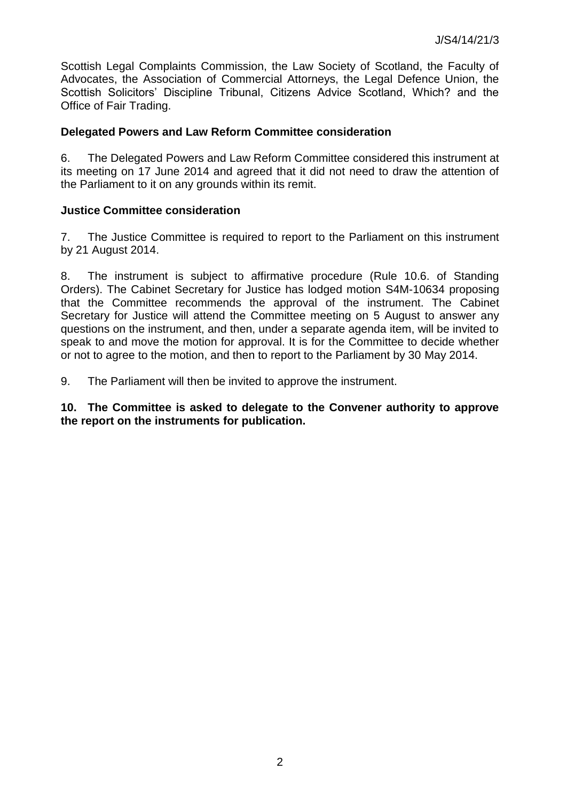Scottish Legal Complaints Commission, the Law Society of Scotland, the Faculty of Advocates, the Association of Commercial Attorneys, the Legal Defence Union, the Scottish Solicitors' Discipline Tribunal, Citizens Advice Scotland, Which? and the Office of Fair Trading.

### **Delegated Powers and Law Reform Committee consideration**

6. The Delegated Powers and Law Reform Committee considered this instrument at its meeting on 17 June 2014 and agreed that it did not need to draw the attention of the Parliament to it on any grounds within its remit.

## **Justice Committee consideration**

7. The Justice Committee is required to report to the Parliament on this instrument by 21 August 2014.

8. The instrument is subject to affirmative procedure (Rule 10.6. of Standing Orders). The Cabinet Secretary for Justice has lodged motion S4M-10634 proposing that the Committee recommends the approval of the instrument. The Cabinet Secretary for Justice will attend the Committee meeting on 5 August to answer any questions on the instrument, and then, under a separate agenda item, will be invited to speak to and move the motion for approval. It is for the Committee to decide whether or not to agree to the motion, and then to report to the Parliament by 30 May 2014.

9. The Parliament will then be invited to approve the instrument.

**10. The Committee is asked to delegate to the Convener authority to approve the report on the instruments for publication.**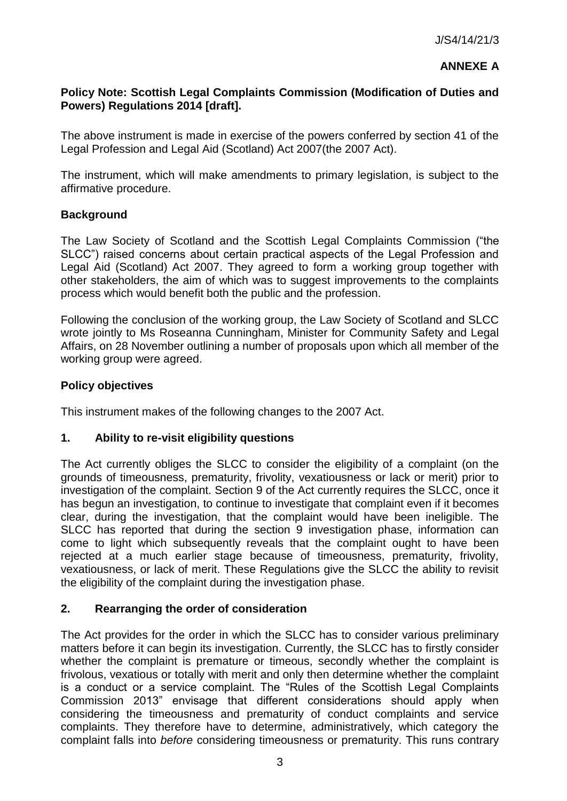## **ANNEXE A**

## **Policy Note: Scottish Legal Complaints Commission (Modification of Duties and Powers) Regulations 2014 [draft].**

The above instrument is made in exercise of the powers conferred by section 41 of the Legal Profession and Legal Aid (Scotland) Act 2007(the 2007 Act).

The instrument, which will make amendments to primary legislation, is subject to the affirmative procedure.

## **Background**

The Law Society of Scotland and the Scottish Legal Complaints Commission ("the SLCC") raised concerns about certain practical aspects of the Legal Profession and Legal Aid (Scotland) Act 2007. They agreed to form a working group together with other stakeholders, the aim of which was to suggest improvements to the complaints process which would benefit both the public and the profession.

Following the conclusion of the working group, the Law Society of Scotland and SLCC wrote jointly to Ms Roseanna Cunningham, Minister for Community Safety and Legal Affairs, on 28 November outlining a number of proposals upon which all member of the working group were agreed.

## **Policy objectives**

This instrument makes of the following changes to the 2007 Act.

# **1. Ability to re-visit eligibility questions**

The Act currently obliges the SLCC to consider the eligibility of a complaint (on the grounds of timeousness, prematurity, frivolity, vexatiousness or lack or merit) prior to investigation of the complaint. Section 9 of the Act currently requires the SLCC, once it has begun an investigation, to continue to investigate that complaint even if it becomes clear, during the investigation, that the complaint would have been ineligible. The SLCC has reported that during the section 9 investigation phase, information can come to light which subsequently reveals that the complaint ought to have been rejected at a much earlier stage because of timeousness, prematurity, frivolity, vexatiousness, or lack of merit. These Regulations give the SLCC the ability to revisit the eligibility of the complaint during the investigation phase.

### **2. Rearranging the order of consideration**

The Act provides for the order in which the SLCC has to consider various preliminary matters before it can begin its investigation. Currently, the SLCC has to firstly consider whether the complaint is premature or timeous, secondly whether the complaint is frivolous, vexatious or totally with merit and only then determine whether the complaint is a conduct or a service complaint. The "Rules of the Scottish Legal Complaints Commission 2013" envisage that different considerations should apply when considering the timeousness and prematurity of conduct complaints and service complaints. They therefore have to determine, administratively, which category the complaint falls into *before* considering timeousness or prematurity. This runs contrary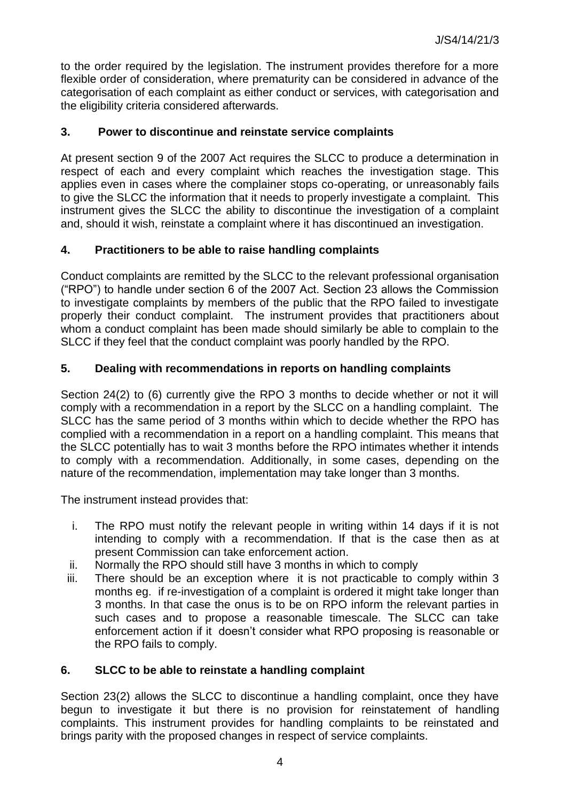to the order required by the legislation. The instrument provides therefore for a more flexible order of consideration, where prematurity can be considered in advance of the categorisation of each complaint as either conduct or services, with categorisation and the eligibility criteria considered afterwards.

# **3. Power to discontinue and reinstate service complaints**

At present section 9 of the 2007 Act requires the SLCC to produce a determination in respect of each and every complaint which reaches the investigation stage. This applies even in cases where the complainer stops co-operating, or unreasonably fails to give the SLCC the information that it needs to properly investigate a complaint. This instrument gives the SLCC the ability to discontinue the investigation of a complaint and, should it wish, reinstate a complaint where it has discontinued an investigation.

# **4. Practitioners to be able to raise handling complaints**

Conduct complaints are remitted by the SLCC to the relevant professional organisation ("RPO") to handle under section 6 of the 2007 Act. Section 23 allows the Commission to investigate complaints by members of the public that the RPO failed to investigate properly their conduct complaint. The instrument provides that practitioners about whom a conduct complaint has been made should similarly be able to complain to the SLCC if they feel that the conduct complaint was poorly handled by the RPO.

# **5. Dealing with recommendations in reports on handling complaints**

Section 24(2) to (6) currently give the RPO 3 months to decide whether or not it will comply with a recommendation in a report by the SLCC on a handling complaint. The SLCC has the same period of 3 months within which to decide whether the RPO has complied with a recommendation in a report on a handling complaint. This means that the SLCC potentially has to wait 3 months before the RPO intimates whether it intends to comply with a recommendation. Additionally, in some cases, depending on the nature of the recommendation, implementation may take longer than 3 months.

The instrument instead provides that:

- i. The RPO must notify the relevant people in writing within 14 days if it is not intending to comply with a recommendation. If that is the case then as at present Commission can take enforcement action.
- ii. Normally the RPO should still have 3 months in which to comply
- iii. There should be an exception where it is not practicable to comply within 3 months eg. if re-investigation of a complaint is ordered it might take longer than 3 months. In that case the onus is to be on RPO inform the relevant parties in such cases and to propose a reasonable timescale. The SLCC can take enforcement action if it doesn't consider what RPO proposing is reasonable or the RPO fails to comply.

# **6. SLCC to be able to reinstate a handling complaint**

Section 23(2) allows the SLCC to discontinue a handling complaint, once they have begun to investigate it but there is no provision for reinstatement of handling complaints. This instrument provides for handling complaints to be reinstated and brings parity with the proposed changes in respect of service complaints.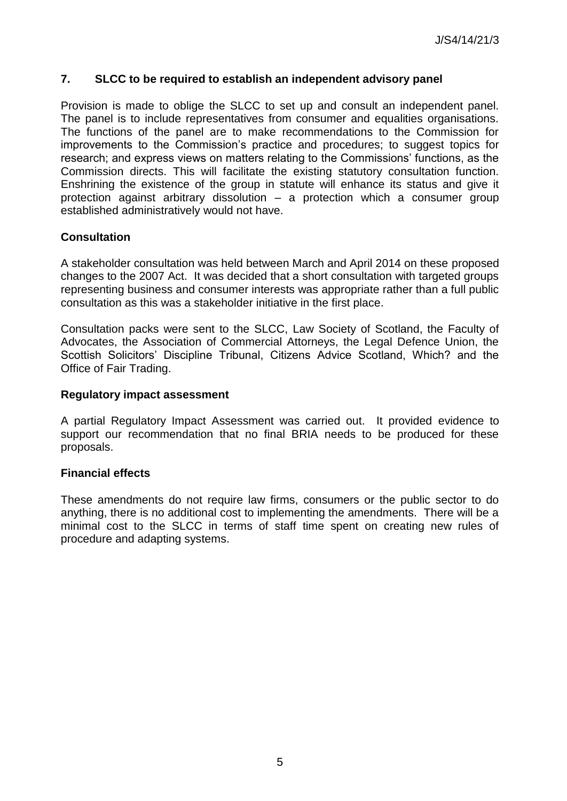## **7. SLCC to be required to establish an independent advisory panel**

Provision is made to oblige the SLCC to set up and consult an independent panel. The panel is to include representatives from consumer and equalities organisations. The functions of the panel are to make recommendations to the Commission for improvements to the Commission's practice and procedures; to suggest topics for research; and express views on matters relating to the Commissions' functions, as the Commission directs. This will facilitate the existing statutory consultation function. Enshrining the existence of the group in statute will enhance its status and give it protection against arbitrary dissolution – a protection which a consumer group established administratively would not have.

## **Consultation**

A stakeholder consultation was held between March and April 2014 on these proposed changes to the 2007 Act. It was decided that a short consultation with targeted groups representing business and consumer interests was appropriate rather than a full public consultation as this was a stakeholder initiative in the first place.

Consultation packs were sent to the SLCC, Law Society of Scotland, the Faculty of Advocates, the Association of Commercial Attorneys, the Legal Defence Union, the Scottish Solicitors' Discipline Tribunal, Citizens Advice Scotland, Which? and the Office of Fair Trading.

### **Regulatory impact assessment**

A partial Regulatory Impact Assessment was carried out. It provided evidence to support our recommendation that no final BRIA needs to be produced for these proposals.

### **Financial effects**

These amendments do not require law firms, consumers or the public sector to do anything, there is no additional cost to implementing the amendments. There will be a minimal cost to the SLCC in terms of staff time spent on creating new rules of procedure and adapting systems.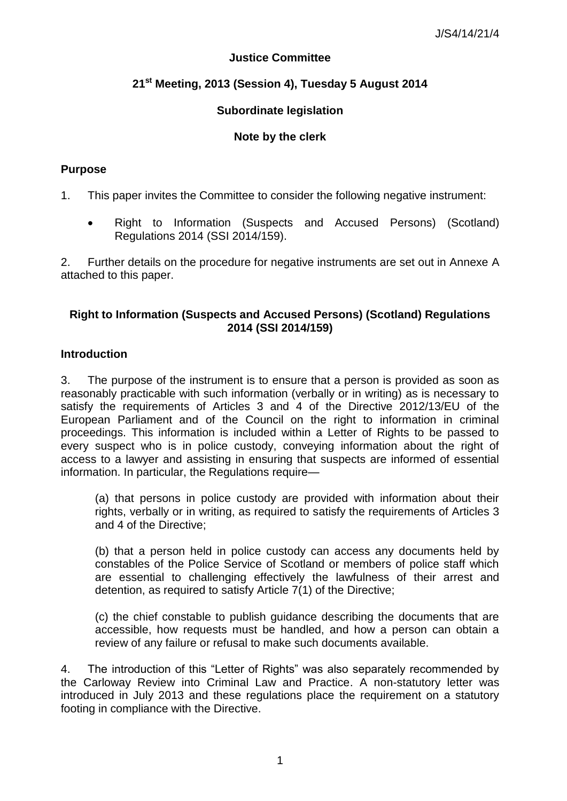## **Justice Committee**

# **21st Meeting, 2013 (Session 4), Tuesday 5 August 2014**

## **Subordinate legislation**

## **Note by the clerk**

## **Purpose**

1. This paper invites the Committee to consider the following negative instrument:

 Right to Information (Suspects and Accused Persons) (Scotland) Regulations 2014 (SSI 2014/159).

2. Further details on the procedure for negative instruments are set out in Annexe A attached to this paper.

### **Right to Information (Suspects and Accused Persons) (Scotland) Regulations 2014 (SSI 2014/159)**

### **Introduction**

3. The purpose of the instrument is to ensure that a person is provided as soon as reasonably practicable with such information (verbally or in writing) as is necessary to satisfy the requirements of Articles 3 and 4 of the Directive 2012/13/EU of the European Parliament and of the Council on the right to information in criminal proceedings. This information is included within a Letter of Rights to be passed to every suspect who is in police custody, conveying information about the right of access to a lawyer and assisting in ensuring that suspects are informed of essential information. In particular, the Regulations require—

(a) that persons in police custody are provided with information about their rights, verbally or in writing, as required to satisfy the requirements of Articles 3 and 4 of the Directive;

(b) that a person held in police custody can access any documents held by constables of the Police Service of Scotland or members of police staff which are essential to challenging effectively the lawfulness of their arrest and detention, as required to satisfy Article 7(1) of the Directive;

(c) the chief constable to publish guidance describing the documents that are accessible, how requests must be handled, and how a person can obtain a review of any failure or refusal to make such documents available.

4. The introduction of this "Letter of Rights" was also separately recommended by the Carloway Review into Criminal Law and Practice. A non-statutory letter was introduced in July 2013 and these regulations place the requirement on a statutory footing in compliance with the Directive.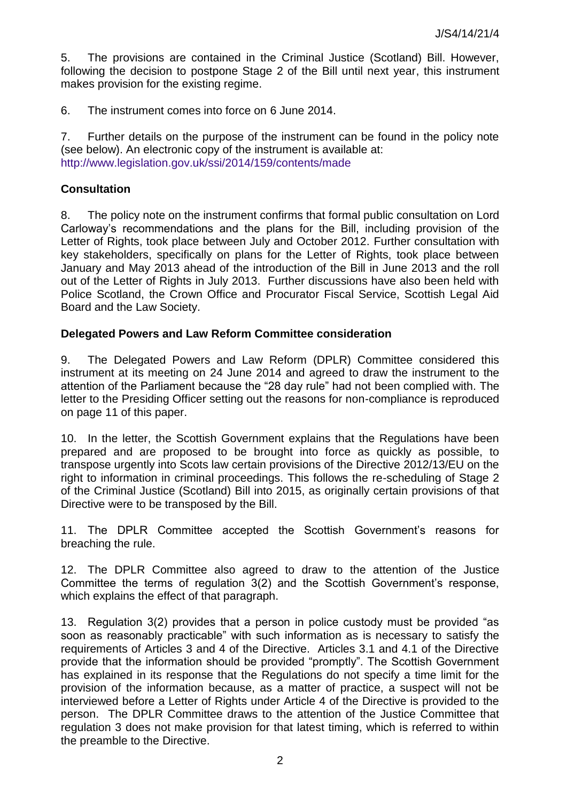5. The provisions are contained in the Criminal Justice (Scotland) Bill. However, following the decision to postpone Stage 2 of the Bill until next year, this instrument makes provision for the existing regime.

6. The instrument comes into force on 6 June 2014.

7. Further details on the purpose of the instrument can be found in the policy note (see below). An electronic copy of the instrument is available at: <http://www.legislation.gov.uk/ssi/2014/159/contents/made>

## **Consultation**

8. The policy note on the instrument confirms that formal public consultation on Lord Carloway's recommendations and the plans for the Bill, including provision of the Letter of Rights, took place between July and October 2012. Further consultation with key stakeholders, specifically on plans for the Letter of Rights, took place between January and May 2013 ahead of the introduction of the Bill in June 2013 and the roll out of the Letter of Rights in July 2013. Further discussions have also been held with Police Scotland, the Crown Office and Procurator Fiscal Service, Scottish Legal Aid Board and the Law Society.

### **Delegated Powers and Law Reform Committee consideration**

9. The Delegated Powers and Law Reform (DPLR) Committee considered this instrument at its meeting on 24 June 2014 and agreed to draw the instrument to the attention of the Parliament because the "28 day rule" had not been complied with. The letter to the Presiding Officer setting out the reasons for non-compliance is reproduced on page 11 of this paper.

10. In the letter, the Scottish Government explains that the Regulations have been prepared and are proposed to be brought into force as quickly as possible, to transpose urgently into Scots law certain provisions of the Directive 2012/13/EU on the right to information in criminal proceedings. This follows the re-scheduling of Stage 2 of the Criminal Justice (Scotland) Bill into 2015, as originally certain provisions of that Directive were to be transposed by the Bill.

11. The DPLR Committee accepted the Scottish Government's reasons for breaching the rule.

12. The DPLR Committee also agreed to draw to the attention of the Justice Committee the terms of regulation 3(2) and the Scottish Government's response, which explains the effect of that paragraph.

13. Regulation 3(2) provides that a person in police custody must be provided "as soon as reasonably practicable" with such information as is necessary to satisfy the requirements of Articles 3 and 4 of the Directive. Articles 3.1 and 4.1 of the Directive provide that the information should be provided "promptly". The Scottish Government has explained in its response that the Regulations do not specify a time limit for the provision of the information because, as a matter of practice, a suspect will not be interviewed before a Letter of Rights under Article 4 of the Directive is provided to the person. The DPLR Committee draws to the attention of the Justice Committee that regulation 3 does not make provision for that latest timing, which is referred to within the preamble to the Directive.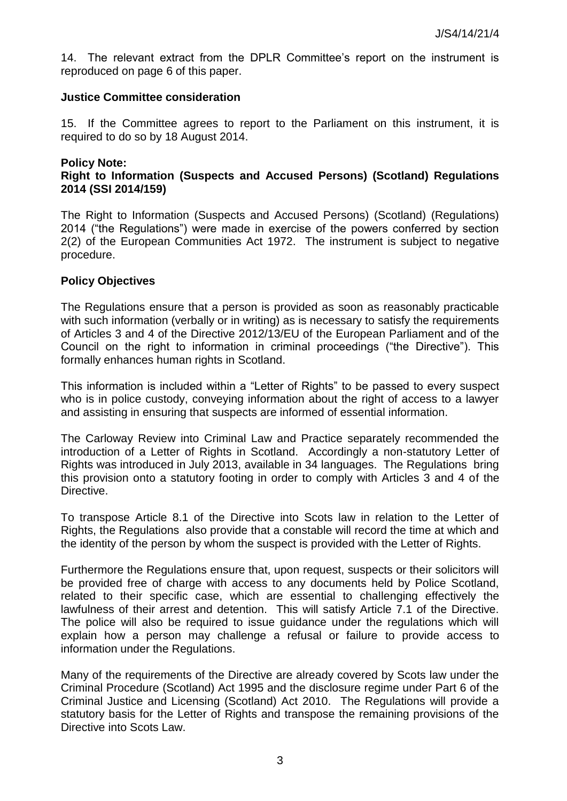14. The relevant extract from the DPLR Committee's report on the instrument is reproduced on page 6 of this paper.

### **Justice Committee consideration**

15. If the Committee agrees to report to the Parliament on this instrument, it is required to do so by 18 August 2014.

#### **Policy Note:**

## **Right to Information (Suspects and Accused Persons) (Scotland) Regulations 2014 (SSI 2014/159)**

The Right to Information (Suspects and Accused Persons) (Scotland) (Regulations) 2014 ("the Regulations") were made in exercise of the powers conferred by section 2(2) of the European Communities Act 1972. The instrument is subject to negative procedure.

### **Policy Objectives**

The Regulations ensure that a person is provided as soon as reasonably practicable with such information (verbally or in writing) as is necessary to satisfy the requirements of Articles 3 and 4 of the Directive 2012/13/EU of the European Parliament and of the Council on the right to information in criminal proceedings ("the Directive"). This formally enhances human rights in Scotland.

This information is included within a "Letter of Rights" to be passed to every suspect who is in police custody, conveying information about the right of access to a lawyer and assisting in ensuring that suspects are informed of essential information.

The Carloway Review into Criminal Law and Practice separately recommended the introduction of a Letter of Rights in Scotland. Accordingly a non-statutory Letter of Rights was introduced in July 2013, available in 34 languages. The Regulations bring this provision onto a statutory footing in order to comply with Articles 3 and 4 of the Directive.

To transpose Article 8.1 of the Directive into Scots law in relation to the Letter of Rights, the Regulations also provide that a constable will record the time at which and the identity of the person by whom the suspect is provided with the Letter of Rights.

Furthermore the Regulations ensure that, upon request, suspects or their solicitors will be provided free of charge with access to any documents held by Police Scotland, related to their specific case, which are essential to challenging effectively the lawfulness of their arrest and detention. This will satisfy Article 7.1 of the Directive. The police will also be required to issue guidance under the regulations which will explain how a person may challenge a refusal or failure to provide access to information under the Regulations.

Many of the requirements of the Directive are already covered by Scots law under the Criminal Procedure (Scotland) Act 1995 and the disclosure regime under Part 6 of the Criminal Justice and Licensing (Scotland) Act 2010. The Regulations will provide a statutory basis for the Letter of Rights and transpose the remaining provisions of the Directive into Scots Law.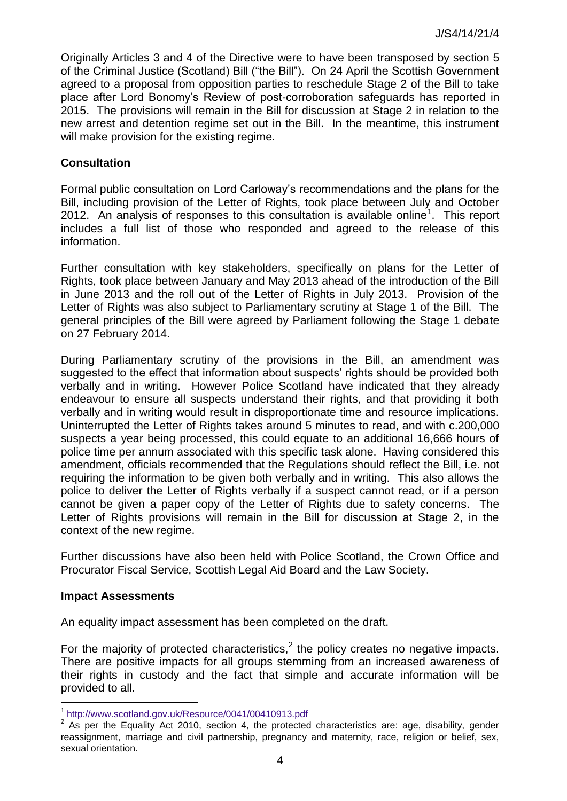Originally Articles 3 and 4 of the Directive were to have been transposed by section 5 of the Criminal Justice (Scotland) Bill ("the Bill"). On 24 April the Scottish Government agreed to a proposal from opposition parties to reschedule Stage 2 of the Bill to take place after Lord Bonomy's Review of post-corroboration safeguards has reported in 2015. The provisions will remain in the Bill for discussion at Stage 2 in relation to the new arrest and detention regime set out in the Bill. In the meantime, this instrument will make provision for the existing regime.

## **Consultation**

Formal public consultation on Lord Carloway's recommendations and the plans for the Bill, including provision of the Letter of Rights, took place between July and October 2012. An analysis of responses to this consultation is available online<sup>1</sup>. This report includes a full list of those who responded and agreed to the release of this information.

Further consultation with key stakeholders, specifically on plans for the Letter of Rights, took place between January and May 2013 ahead of the introduction of the Bill in June 2013 and the roll out of the Letter of Rights in July 2013. Provision of the Letter of Rights was also subject to Parliamentary scrutiny at Stage 1 of the Bill. The general principles of the Bill were agreed by Parliament following the Stage 1 debate on 27 February 2014.

During Parliamentary scrutiny of the provisions in the Bill, an amendment was suggested to the effect that information about suspects' rights should be provided both verbally and in writing. However Police Scotland have indicated that they already endeavour to ensure all suspects understand their rights, and that providing it both verbally and in writing would result in disproportionate time and resource implications. Uninterrupted the Letter of Rights takes around 5 minutes to read, and with c.200,000 suspects a year being processed, this could equate to an additional 16,666 hours of police time per annum associated with this specific task alone. Having considered this amendment, officials recommended that the Regulations should reflect the Bill, i.e. not requiring the information to be given both verbally and in writing. This also allows the police to deliver the Letter of Rights verbally if a suspect cannot read, or if a person cannot be given a paper copy of the Letter of Rights due to safety concerns. The Letter of Rights provisions will remain in the Bill for discussion at Stage 2, in the context of the new regime.

Further discussions have also been held with Police Scotland, the Crown Office and Procurator Fiscal Service, Scottish Legal Aid Board and the Law Society.

### **Impact Assessments**

An equality impact assessment has been completed on the draft.

For the majority of protected characteristics,<sup>2</sup> the policy creates no negative impacts. There are positive impacts for all groups stemming from an increased awareness of their rights in custody and the fact that simple and accurate information will be provided to all.

 1 <http://www.scotland.gov.uk/Resource/0041/00410913.pdf>

 $2$  As per the Equality Act 2010, section 4, the protected characteristics are: age, disability, gender reassignment, marriage and civil partnership, pregnancy and maternity, race, religion or belief, sex, sexual orientation.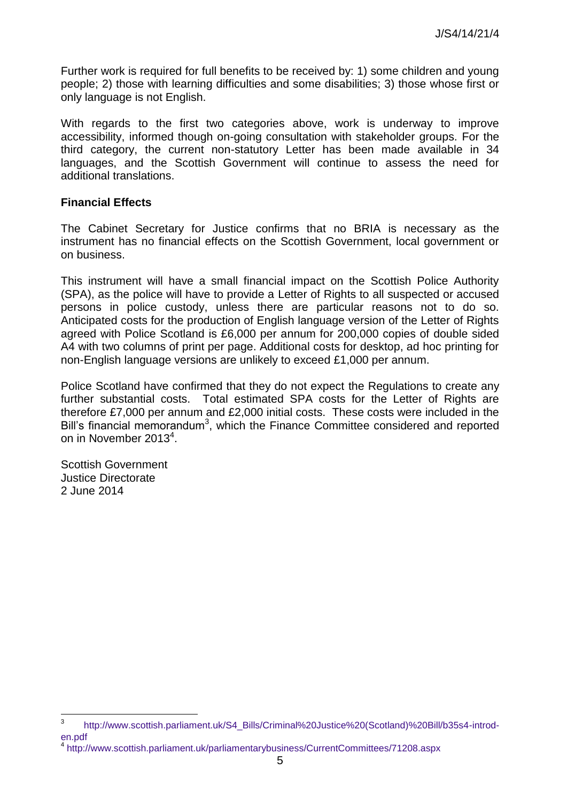Further work is required for full benefits to be received by: 1) some children and young people; 2) those with learning difficulties and some disabilities; 3) those whose first or only language is not English.

With regards to the first two categories above, work is underway to improve accessibility, informed though on-going consultation with stakeholder groups. For the third category, the current non-statutory Letter has been made available in 34 languages, and the Scottish Government will continue to assess the need for additional translations.

#### **Financial Effects**

The Cabinet Secretary for Justice confirms that no BRIA is necessary as the instrument has no financial effects on the Scottish Government, local government or on business.

This instrument will have a small financial impact on the Scottish Police Authority (SPA), as the police will have to provide a Letter of Rights to all suspected or accused persons in police custody, unless there are particular reasons not to do so. Anticipated costs for the production of English language version of the Letter of Rights agreed with Police Scotland is £6,000 per annum for 200,000 copies of double sided A4 with two columns of print per page. Additional costs for desktop, ad hoc printing for non-English language versions are unlikely to exceed £1,000 per annum.

Police Scotland have confirmed that they do not expect the Regulations to create any further substantial costs. Total estimated SPA costs for the Letter of Rights are therefore £7,000 per annum and £2,000 initial costs. These costs were included in the Bill's financial memorandum<sup>3</sup>, which the Finance Committee considered and reported on in November 2013<sup>4</sup>.

Scottish Government Justice Directorate 2 June 2014

<sup>-&</sup>lt;br>3 [http://www.scottish.parliament.uk/S4\\_Bills/Criminal%20Justice%20\(Scotland\)%20Bill/b35s4-introd](http://www.scottish.parliament.uk/S4_Bills/Criminal%20Justice%20(Scotland)%20Bill/b35s4-introd-en.pdf)[en.pdf](http://www.scottish.parliament.uk/S4_Bills/Criminal%20Justice%20(Scotland)%20Bill/b35s4-introd-en.pdf)

<sup>4</sup> <http://www.scottish.parliament.uk/parliamentarybusiness/CurrentCommittees/71208.aspx>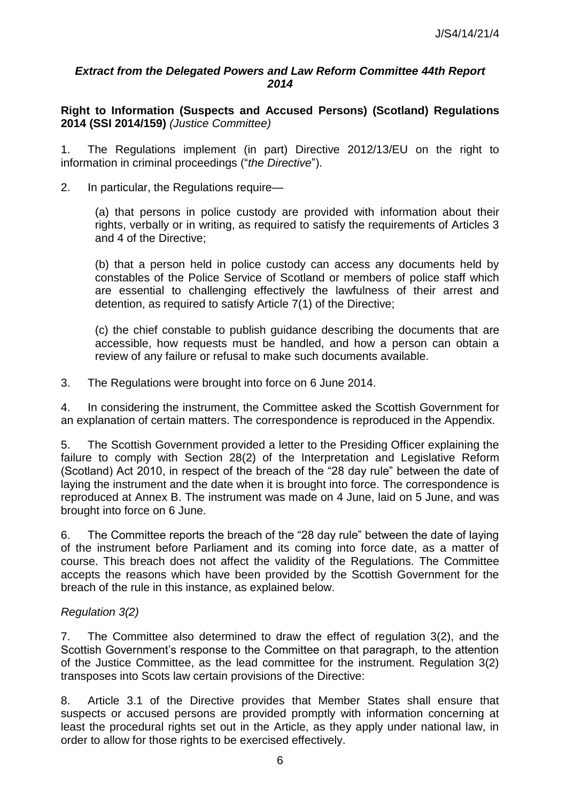### *Extract from the Delegated Powers and Law Reform Committee 44th Report 2014*

**Right to Information (Suspects and Accused Persons) (Scotland) Regulations 2014 (SSI 2014/159)** *(Justice Committee)*

1. The Regulations implement (in part) Directive 2012/13/EU on the right to information in criminal proceedings ("the Directive").

2. In particular, the Regulations require—

(a) that persons in police custody are provided with information about their rights, verbally or in writing, as required to satisfy the requirements of Articles 3 and 4 of the Directive;

(b) that a person held in police custody can access any documents held by constables of the Police Service of Scotland or members of police staff which are essential to challenging effectively the lawfulness of their arrest and detention, as required to satisfy Article 7(1) of the Directive;

(c) the chief constable to publish guidance describing the documents that are accessible, how requests must be handled, and how a person can obtain a review of any failure or refusal to make such documents available.

3. The Regulations were brought into force on 6 June 2014.

4. In considering the instrument, the Committee asked the Scottish Government for an explanation of certain matters. The correspondence is reproduced in the Appendix.

5. The Scottish Government provided a letter to the Presiding Officer explaining the failure to comply with Section 28(2) of the Interpretation and Legislative Reform (Scotland) Act 2010, in respect of the breach of the "28 day rule" between the date of laying the instrument and the date when it is brought into force. The correspondence is reproduced at Annex B. The instrument was made on 4 June, laid on 5 June, and was brought into force on 6 June.

6. The Committee reports the breach of the "28 day rule" between the date of laying of the instrument before Parliament and its coming into force date, as a matter of course. This breach does not affect the validity of the Regulations. The Committee accepts the reasons which have been provided by the Scottish Government for the breach of the rule in this instance, as explained below.

### *Regulation 3(2)*

7. The Committee also determined to draw the effect of regulation 3(2), and the Scottish Government's response to the Committee on that paragraph, to the attention of the Justice Committee, as the lead committee for the instrument. Regulation 3(2) transposes into Scots law certain provisions of the Directive:

8. Article 3.1 of the Directive provides that Member States shall ensure that suspects or accused persons are provided promptly with information concerning at least the procedural rights set out in the Article, as they apply under national law, in order to allow for those rights to be exercised effectively.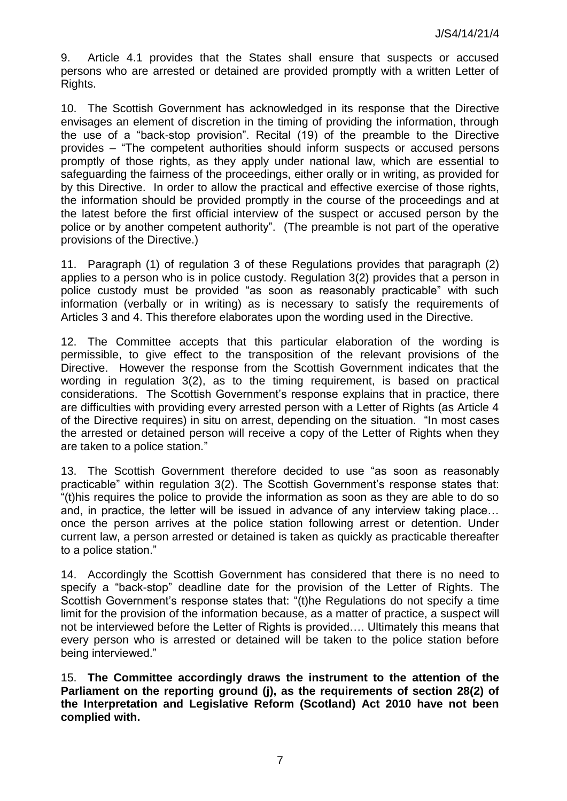9. Article 4.1 provides that the States shall ensure that suspects or accused persons who are arrested or detained are provided promptly with a written Letter of Rights.

10. The Scottish Government has acknowledged in its response that the Directive envisages an element of discretion in the timing of providing the information, through the use of a "back-stop provision". Recital (19) of the preamble to the Directive provides – "The competent authorities should inform suspects or accused persons promptly of those rights, as they apply under national law, which are essential to safeguarding the fairness of the proceedings, either orally or in writing, as provided for by this Directive. In order to allow the practical and effective exercise of those rights, the information should be provided promptly in the course of the proceedings and at the latest before the first official interview of the suspect or accused person by the police or by another competent authority". (The preamble is not part of the operative provisions of the Directive.)

11. Paragraph (1) of regulation 3 of these Regulations provides that paragraph (2) applies to a person who is in police custody. Regulation 3(2) provides that a person in police custody must be provided "as soon as reasonably practicable" with such information (verbally or in writing) as is necessary to satisfy the requirements of Articles 3 and 4. This therefore elaborates upon the wording used in the Directive.

12. The Committee accepts that this particular elaboration of the wording is permissible, to give effect to the transposition of the relevant provisions of the Directive. However the response from the Scottish Government indicates that the wording in regulation 3(2), as to the timing requirement, is based on practical considerations. The Scottish Government's response explains that in practice, there are difficulties with providing every arrested person with a Letter of Rights (as Article 4 of the Directive requires) in situ on arrest, depending on the situation. "In most cases the arrested or detained person will receive a copy of the Letter of Rights when they are taken to a police station.‖

13. The Scottish Government therefore decided to use "as soon as reasonably practicable‖ within regulation 3(2). The Scottish Government's response states that: ―(t)his requires the police to provide the information as soon as they are able to do so and, in practice, the letter will be issued in advance of any interview taking place… once the person arrives at the police station following arrest or detention. Under current law, a person arrested or detained is taken as quickly as practicable thereafter to a police station."

14. Accordingly the Scottish Government has considered that there is no need to specify a "back-stop" deadline date for the provision of the Letter of Rights. The Scottish Government's response states that: "(t)he Regulations do not specify a time limit for the provision of the information because, as a matter of practice, a suspect will not be interviewed before the Letter of Rights is provided…. Ultimately this means that every person who is arrested or detained will be taken to the police station before being interviewed."

15. **The Committee accordingly draws the instrument to the attention of the Parliament on the reporting ground (j), as the requirements of section 28(2) of the Interpretation and Legislative Reform (Scotland) Act 2010 have not been complied with.**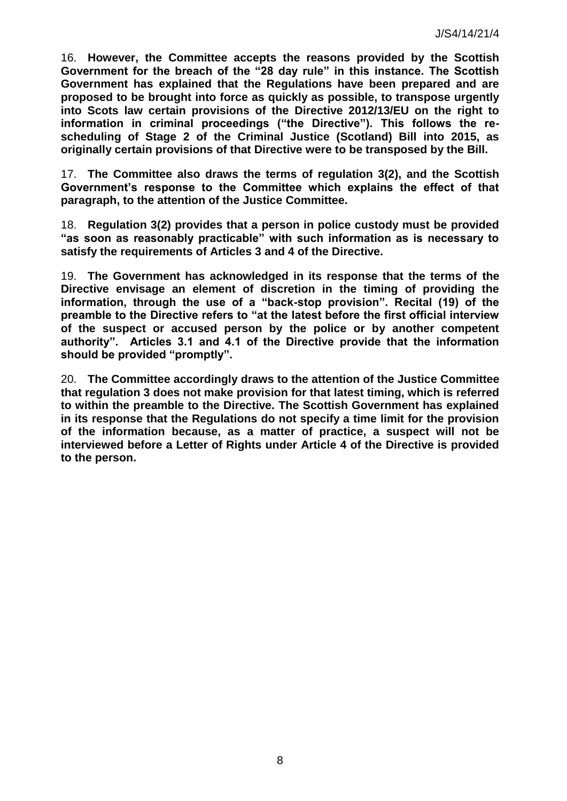16. **However, the Committee accepts the reasons provided by the Scottish Government for the breach of the "28 day rule" in this instance. The Scottish Government has explained that the Regulations have been prepared and are proposed to be brought into force as quickly as possible, to transpose urgently into Scots law certain provisions of the Directive 2012/13/EU on the right to information in criminal proceedings ("the Directive"). This follows the rescheduling of Stage 2 of the Criminal Justice (Scotland) Bill into 2015, as originally certain provisions of that Directive were to be transposed by the Bill.** 

17. **The Committee also draws the terms of regulation 3(2), and the Scottish Government's response to the Committee which explains the effect of that paragraph, to the attention of the Justice Committee.** 

18. **Regulation 3(2) provides that a person in police custody must be provided "as soon as reasonably practicable" with such information as is necessary to satisfy the requirements of Articles 3 and 4 of the Directive.** 

19. **The Government has acknowledged in its response that the terms of the Directive envisage an element of discretion in the timing of providing the information, through the use of a "back-stop provision". Recital (19) of the preamble to the Directive refers to "at the latest before the first official interview of the suspect or accused person by the police or by another competent authority". Articles 3.1 and 4.1 of the Directive provide that the information should be provided "promptly".** 

20. **The Committee accordingly draws to the attention of the Justice Committee that regulation 3 does not make provision for that latest timing, which is referred to within the preamble to the Directive. The Scottish Government has explained in its response that the Regulations do not specify a time limit for the provision of the information because, as a matter of practice, a suspect will not be interviewed before a Letter of Rights under Article 4 of the Directive is provided to the person.**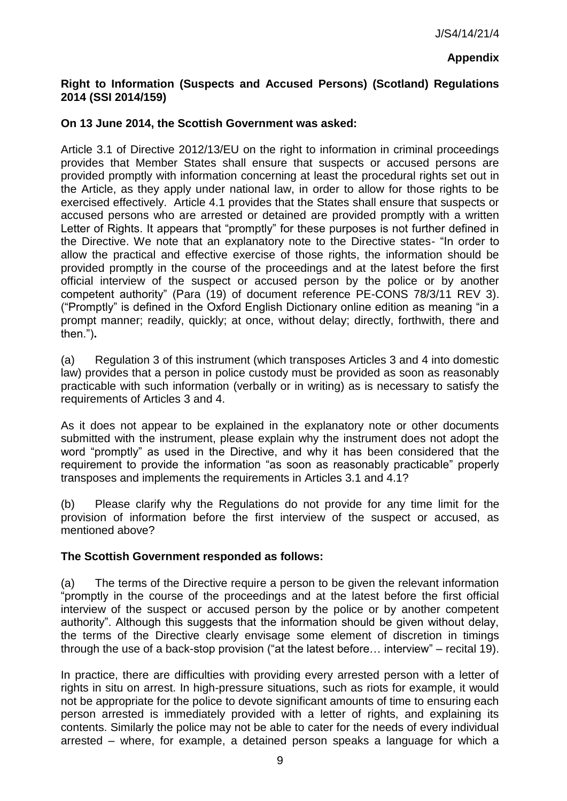## **Appendix**

## **Right to Information (Suspects and Accused Persons) (Scotland) Regulations 2014 (SSI 2014/159)**

### **On 13 June 2014, the Scottish Government was asked:**

Article 3.1 of Directive 2012/13/EU on the right to information in criminal proceedings provides that Member States shall ensure that suspects or accused persons are provided promptly with information concerning at least the procedural rights set out in the Article, as they apply under national law, in order to allow for those rights to be exercised effectively. Article 4.1 provides that the States shall ensure that suspects or accused persons who are arrested or detained are provided promptly with a written Letter of Rights. It appears that "promptly" for these purposes is not further defined in the Directive. We note that an explanatory note to the Directive states- "In order to allow the practical and effective exercise of those rights, the information should be provided promptly in the course of the proceedings and at the latest before the first official interview of the suspect or accused person by the police or by another competent authority" (Para (19) of document reference PE-CONS 78/3/11 REV 3). ("Promptly" is defined in the Oxford English Dictionary online edition as meaning "in a prompt manner; readily, quickly; at once, without delay; directly, forthwith, there and then.‖)**.** 

(a) Regulation 3 of this instrument (which transposes Articles 3 and 4 into domestic law) provides that a person in police custody must be provided as soon as reasonably practicable with such information (verbally or in writing) as is necessary to satisfy the requirements of Articles 3 and 4.

As it does not appear to be explained in the explanatory note or other documents submitted with the instrument, please explain why the instrument does not adopt the word "promptly" as used in the Directive, and why it has been considered that the requirement to provide the information "as soon as reasonably practicable" properly transposes and implements the requirements in Articles 3.1 and 4.1?

(b) Please clarify why the Regulations do not provide for any time limit for the provision of information before the first interview of the suspect or accused, as mentioned above?

### **The Scottish Government responded as follows:**

(a) The terms of the Directive require a person to be given the relevant information "promptly in the course of the proceedings and at the latest before the first official interview of the suspect or accused person by the police or by another competent authority". Although this suggests that the information should be given without delay, the terms of the Directive clearly envisage some element of discretion in timings through the use of a back-stop provision ("at the latest before... interview" – recital 19).

In practice, there are difficulties with providing every arrested person with a letter of rights in situ on arrest. In high-pressure situations, such as riots for example, it would not be appropriate for the police to devote significant amounts of time to ensuring each person arrested is immediately provided with a letter of rights, and explaining its contents. Similarly the police may not be able to cater for the needs of every individual arrested – where, for example, a detained person speaks a language for which a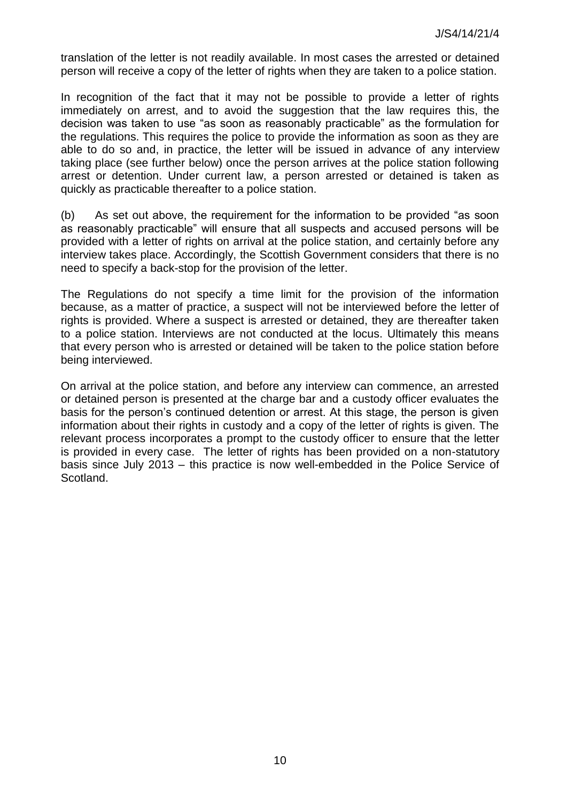translation of the letter is not readily available. In most cases the arrested or detained person will receive a copy of the letter of rights when they are taken to a police station.

In recognition of the fact that it may not be possible to provide a letter of rights immediately on arrest, and to avoid the suggestion that the law requires this, the decision was taken to use "as soon as reasonably practicable" as the formulation for the regulations. This requires the police to provide the information as soon as they are able to do so and, in practice, the letter will be issued in advance of any interview taking place (see further below) once the person arrives at the police station following arrest or detention. Under current law, a person arrested or detained is taken as quickly as practicable thereafter to a police station.

 $(b)$  As set out above, the requirement for the information to be provided "as soon as reasonably practicable" will ensure that all suspects and accused persons will be provided with a letter of rights on arrival at the police station, and certainly before any interview takes place. Accordingly, the Scottish Government considers that there is no need to specify a back-stop for the provision of the letter.

The Regulations do not specify a time limit for the provision of the information because, as a matter of practice, a suspect will not be interviewed before the letter of rights is provided. Where a suspect is arrested or detained, they are thereafter taken to a police station. Interviews are not conducted at the locus. Ultimately this means that every person who is arrested or detained will be taken to the police station before being interviewed.

On arrival at the police station, and before any interview can commence, an arrested or detained person is presented at the charge bar and a custody officer evaluates the basis for the person's continued detention or arrest. At this stage, the person is given information about their rights in custody and a copy of the letter of rights is given. The relevant process incorporates a prompt to the custody officer to ensure that the letter is provided in every case. The letter of rights has been provided on a non-statutory basis since July 2013 – this practice is now well-embedded in the Police Service of Scotland.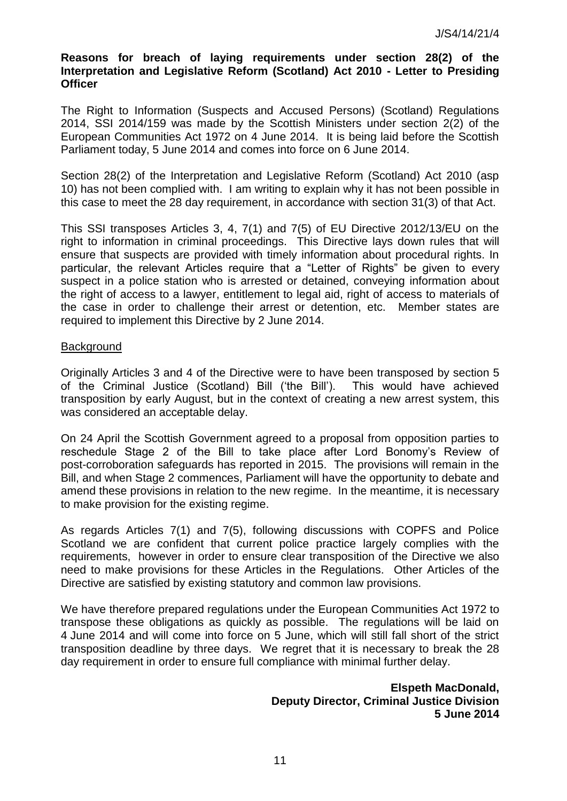#### **Reasons for breach of laying requirements under section 28(2) of the Interpretation and Legislative Reform (Scotland) Act 2010 - Letter to Presiding Officer**

The Right to Information (Suspects and Accused Persons) (Scotland) Regulations 2014, SSI 2014/159 was made by the Scottish Ministers under section 2(2) of the European Communities Act 1972 on 4 June 2014. It is being laid before the Scottish Parliament today, 5 June 2014 and comes into force on 6 June 2014.

Section 28(2) of the Interpretation and Legislative Reform (Scotland) Act 2010 (asp 10) has not been complied with. I am writing to explain why it has not been possible in this case to meet the 28 day requirement, in accordance with section 31(3) of that Act.

This SSI transposes Articles 3, 4, 7(1) and 7(5) of EU Directive 2012/13/EU on the right to information in criminal proceedings. This Directive lays down rules that will ensure that suspects are provided with timely information about procedural rights. In particular, the relevant Articles require that a "Letter of Rights" be given to every suspect in a police station who is arrested or detained, conveying information about the right of access to a lawyer, entitlement to legal aid, right of access to materials of the case in order to challenge their arrest or detention, etc. Member states are required to implement this Directive by 2 June 2014.

#### **Background**

Originally Articles 3 and 4 of the Directive were to have been transposed by section 5 of the Criminal Justice (Scotland) Bill (‗the Bill'). This would have achieved transposition by early August, but in the context of creating a new arrest system, this was considered an acceptable delay.

On 24 April the Scottish Government agreed to a proposal from opposition parties to reschedule Stage 2 of the Bill to take place after Lord Bonomy's Review of post-corroboration safeguards has reported in 2015. The provisions will remain in the Bill, and when Stage 2 commences, Parliament will have the opportunity to debate and amend these provisions in relation to the new regime. In the meantime, it is necessary to make provision for the existing regime.

As regards Articles 7(1) and 7(5), following discussions with COPFS and Police Scotland we are confident that current police practice largely complies with the requirements, however in order to ensure clear transposition of the Directive we also need to make provisions for these Articles in the Regulations. Other Articles of the Directive are satisfied by existing statutory and common law provisions.

We have therefore prepared regulations under the European Communities Act 1972 to transpose these obligations as quickly as possible. The regulations will be laid on 4 June 2014 and will come into force on 5 June, which will still fall short of the strict transposition deadline by three days. We regret that it is necessary to break the 28 day requirement in order to ensure full compliance with minimal further delay.

> **Elspeth MacDonald, Deputy Director, Criminal Justice Division 5 June 2014**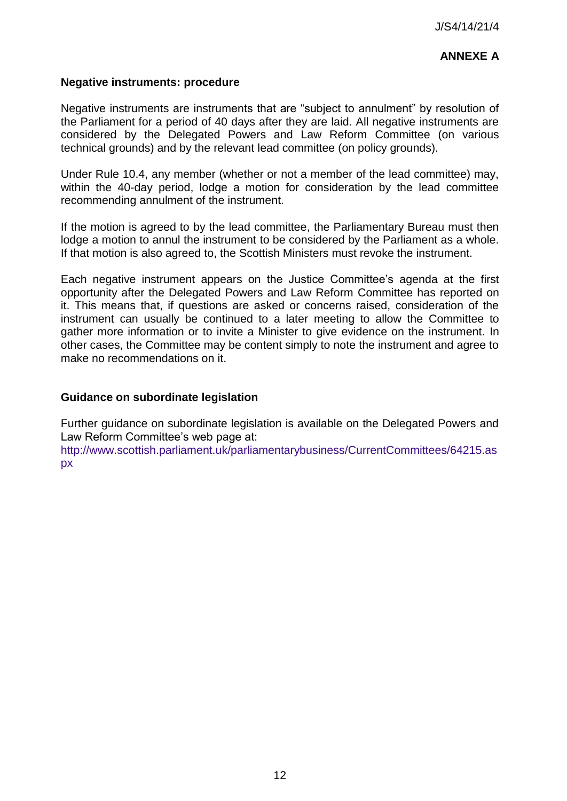# **ANNEXE A**

### **Negative instruments: procedure**

Negative instruments are instruments that are "subject to annulment" by resolution of the Parliament for a period of 40 days after they are laid. All negative instruments are considered by the Delegated Powers and Law Reform Committee (on various technical grounds) and by the relevant lead committee (on policy grounds).

Under Rule 10.4, any member (whether or not a member of the lead committee) may, within the 40-day period, lodge a motion for consideration by the lead committee recommending annulment of the instrument.

If the motion is agreed to by the lead committee, the Parliamentary Bureau must then lodge a motion to annul the instrument to be considered by the Parliament as a whole. If that motion is also agreed to, the Scottish Ministers must revoke the instrument.

Each negative instrument appears on the Justice Committee's agenda at the first opportunity after the Delegated Powers and Law Reform Committee has reported on it. This means that, if questions are asked or concerns raised, consideration of the instrument can usually be continued to a later meeting to allow the Committee to gather more information or to invite a Minister to give evidence on the instrument. In other cases, the Committee may be content simply to note the instrument and agree to make no recommendations on it.

#### **Guidance on subordinate legislation**

Further guidance on subordinate legislation is available on the Delegated Powers and Law Reform Committee's web page at:

[http://www.scottish.parliament.uk/parliamentarybusiness/CurrentCommittees/64215.as](http://www.scottish.parliament.uk/parliamentarybusiness/CurrentCommittees/64215.aspx) [px](http://www.scottish.parliament.uk/parliamentarybusiness/CurrentCommittees/64215.aspx)